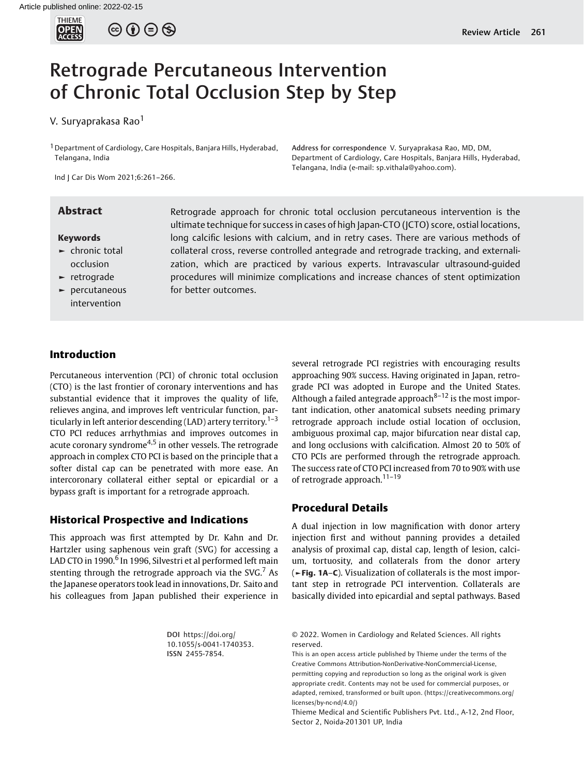

 $\circledcirc$   $\circledcirc$   $\circledcirc$ 

# Retrograde Percutaneous Intervention of Chronic Total Occlusion Step by Step

V. Suryaprakasa Rao<sup>1</sup>

<sup>1</sup> Department of Cardiology, Care Hospitals, Banjara Hills, Hyderabad, Telangana, India

Ind J Car Dis Wom 2021;6:261–266.

#### Keywords

- $\blacktriangleright$  chronic total occlusion
- ► retrograde
- ► percutaneous intervention

**Abstract** Retrograde approach for chronic total occlusion percutaneous intervention is the ultimate technique for success in cases of high Japan-CTO (JCTO) score, ostial locations, long calcific lesions with calcium, and in retry cases. There are various methods of collateral cross, reverse controlled antegrade and retrograde tracking, and externalization, which are practiced by various experts. Intravascular ultrasound-guided procedures will minimize complications and increase chances of stent optimization for better outcomes.

Address for correspondence V. Suryaprakasa Rao, MD, DM, Department of Cardiology, Care Hospitals, Banjara Hills, Hyderabad,

Telangana, India (e-mail: [sp.vithala@yahoo.com](mailto:sp.vithala@yahoo.com)).

#### Introduction

Percutaneous intervention (PCI) of chronic total occlusion (CTO) is the last frontier of coronary interventions and has substantial evidence that it improves the quality of life, relieves angina, and improves left ventricular function, particularly in left anterior descending (LAD) artery territory.<sup>1-3</sup> CTO PCI reduces arrhythmias and improves outcomes in acute coronary syndrome<sup>4,5</sup> in other vessels. The retrograde approach in complex CTO PCI is based on the principle that a softer distal cap can be penetrated with more ease. An intercoronary collateral either septal or epicardial or a bypass graft is important for a retrograde approach.

#### Historical Prospective and Indications

This approach was first attempted by Dr. Kahn and Dr. Hartzler using saphenous vein graft (SVG) for accessing a LAD CTO in 1990.<sup>6</sup> In 1996, Silvestri et al performed left main stenting through the retrograde approach via the  $SVG<sup>7</sup>$  As the Japanese operators took lead in innovations, Dr. Saito and his colleagues from Japan published their experience in

> DOI [https://doi.org/](https://doi.org/10.1055/s-0041-1740353) [10.1055/s-0041-1740353](https://doi.org/10.1055/s-0041-1740353). ISSN 2455-7854.

several retrograde PCI registries with encouraging results approaching 90% success. Having originated in Japan, retrograde PCI was adopted in Europe and the United States. Although a failed antegrade approach<sup>8–12</sup> is the most important indication, other anatomical subsets needing primary retrograde approach include ostial location of occlusion, ambiguous proximal cap, major bifurcation near distal cap, and long occlusions with calcification. Almost 20 to 50% of CTO PCIs are performed through the retrograde approach. The success rate of CTO PCI increased from 70 to 90% with use of retrograde approach. $11-19$ 

#### Procedural Details

A dual injection in low magnification with donor artery injection first and without panning provides a detailed analysis of proximal cap, distal cap, length of lesion, calcium, tortuosity, and collaterals from the donor artery (►Fig. 1A–C). Visualization of collaterals is the most important step in retrograde PCI intervention. Collaterals are basically divided into epicardial and septal pathways. Based

<sup>© 2022.</sup> Women in Cardiology and Related Sciences. All rights reserved.

This is an open access article published by Thieme under the terms of the Creative Commons Attribution-NonDerivative-NonCommercial-License, permitting copying and reproduction so long as the original work is given appropriate credit. Contents may not be used for commercial purposes, or adapted, remixed, transformed or built upon. (https://creativecommons.org/ licenses/by-nc-nd/4.0/)

Thieme Medical and Scientific Publishers Pvt. Ltd., A-12, 2nd Floor, Sector 2, Noida-201301 UP, India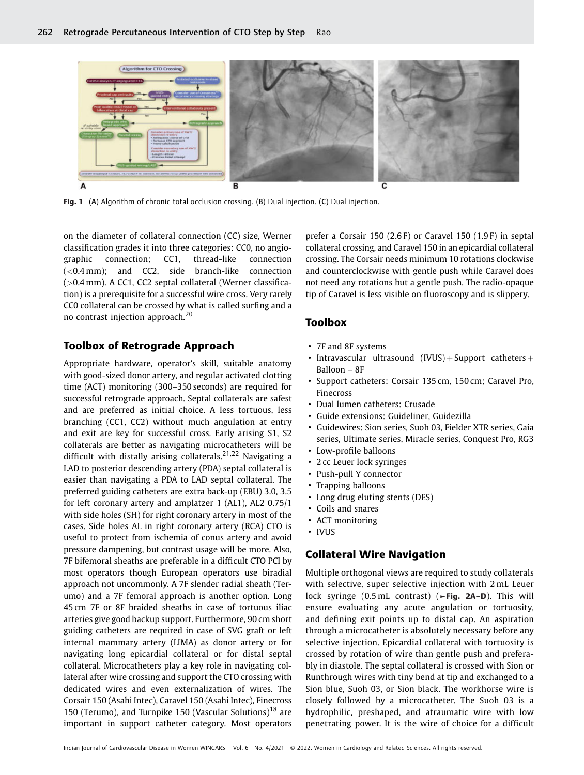

Fig. 1 (A) Algorithm of chronic total occlusion crossing. (B) Dual injection. (C) Dual injection.

on the diameter of collateral connection (CC) size, Werner classification grades it into three categories: CC0, no angiographic connection; CC1, thread-like connection (<0.4 mm); and CC2, side branch-like connection (>0.4 mm). A CC1, CC2 septal collateral (Werner classification) is a prerequisite for a successful wire cross. Very rarely CC0 collateral can be crossed by what is called surfing and a no contrast injection approach.<sup>20</sup>

#### Toolbox of Retrograde Approach

Appropriate hardware, operator's skill, suitable anatomy with good-sized donor artery, and regular activated clotting time (ACT) monitoring (300–350 seconds) are required for successful retrograde approach. Septal collaterals are safest and are preferred as initial choice. A less tortuous, less branching (CC1, CC2) without much angulation at entry and exit are key for successful cross. Early arising S1, S2 collaterals are better as navigating microcatheters will be difficult with distally arising collaterals.<sup>21,22</sup> Navigating a LAD to posterior descending artery (PDA) septal collateral is easier than navigating a PDA to LAD septal collateral. The preferred guiding catheters are extra back-up (EBU) 3.0, 3.5 for left coronary artery and amplatzer 1 (AL1), AL2 0.75/1 with side holes (SH) for right coronary artery in most of the cases. Side holes AL in right coronary artery (RCA) CTO is useful to protect from ischemia of conus artery and avoid pressure dampening, but contrast usage will be more. Also, 7F bifemoral sheaths are preferable in a difficult CTO PCI by most operators though European operators use biradial approach not uncommonly. A 7F slender radial sheath (Terumo) and a 7F femoral approach is another option. Long 45 cm 7F or 8F braided sheaths in case of tortuous iliac arteries give good backup support. Furthermore, 90 cm short guiding catheters are required in case of SVG graft or left internal mammary artery (LIMA) as donor artery or for navigating long epicardial collateral or for distal septal collateral. Microcatheters play a key role in navigating collateral after wire crossing and support the CTO crossing with dedicated wires and even externalization of wires. The Corsair 150 (Asahi Intec), Caravel 150 (Asahi Intec), Finecross 150 (Terumo), and Turnpike 150 (Vascular Solutions)<sup>18</sup> are important in support catheter category. Most operators

prefer a Corsair 150 (2.6 F) or Caravel 150 (1.9 F) in septal collateral crossing, and Caravel 150 in an epicardial collateral crossing. The Corsair needs minimum 10 rotations clockwise and counterclockwise with gentle push while Caravel does not need any rotations but a gentle push. The radio-opaque tip of Caravel is less visible on fluoroscopy and is slippery.

#### Toolbox

- 7F and 8F systems
- Intravascular ultrasound  $(IVUS) + Support$  catheters  $+$ Balloon – 8F
- Support catheters: Corsair 135 cm, 150 cm; Caravel Pro, Finecross
- Dual lumen catheters: Crusade
- Guide extensions: Guideliner, Guidezilla
- Guidewires: Sion series, Suoh 03, Fielder XTR series, Gaia series, Ultimate series, Miracle series, Conquest Pro, RG3
- Low-profile balloons
- 2 cc Leuer lock syringes
- Push-pull Y connector
- Trapping balloons
- Long drug eluting stents (DES)
- Coils and snares
- ACT monitoring
- IVUS

#### Collateral Wire Navigation

Multiple orthogonal views are required to study collaterals with selective, super selective injection with 2 mL Leuer lock syringe (0.5 mL contrast) (►Fig. 2A–D). This will ensure evaluating any acute angulation or tortuosity, and defining exit points up to distal cap. An aspiration through a microcatheter is absolutely necessary before any selective injection. Epicardial collateral with tortuosity is crossed by rotation of wire than gentle push and preferably in diastole. The septal collateral is crossed with Sion or Runthrough wires with tiny bend at tip and exchanged to a Sion blue, Suoh 03, or Sion black. The workhorse wire is closely followed by a microcatheter. The Suoh 03 is a hydrophilic, preshaped, and atraumatic wire with low penetrating power. It is the wire of choice for a difficult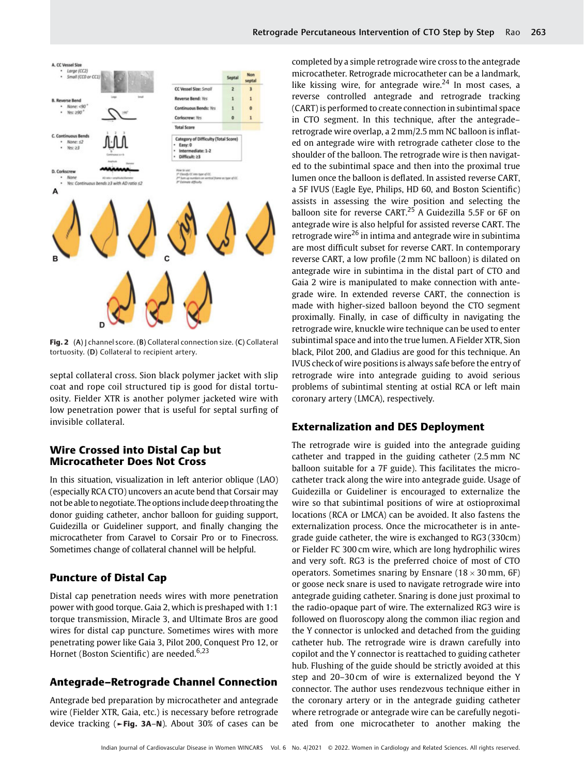

Fig. 2 (A) J channel score. (B) Collateral connection size. (C) Collateral

septal collateral cross. Sion black polymer jacket with slip coat and rope coil structured tip is good for distal tortuosity. Fielder XTR is another polymer jacketed wire with low penetration power that is useful for septal surfing of invisible collateral.

### Wire Crossed into Distal Cap but Microcatheter Does Not Cross

tortuosity. (D) Collateral to recipient artery.

In this situation, visualization in left anterior oblique (LAO) (especially RCA CTO) uncovers an acute bend that Corsair may not be able to negotiate. The optionsinclude deep throating the donor guiding catheter, anchor balloon for guiding support, Guidezilla or Guideliner support, and finally changing the microcatheter from Caravel to Corsair Pro or to Finecross. Sometimes change of collateral channel will be helpful.

## Puncture of Distal Cap

Distal cap penetration needs wires with more penetration power with good torque. Gaia 2, which is preshaped with 1:1 torque transmission, Miracle 3, and Ultimate Bros are good wires for distal cap puncture. Sometimes wires with more penetrating power like Gaia 3, Pilot 200, Conquest Pro 12, or Hornet (Boston Scientific) are needed.<sup>6,23</sup>

# Antegrade–Retrograde Channel Connection

Antegrade bed preparation by microcatheter and antegrade wire (Fielder XTR, Gaia, etc.) is necessary before retrograde device tracking (►Fig. 3A–N). About 30% of cases can be

Retrograde Percutaneous Intervention of CTO Step by Step Rao 263

microcatheter. Retrograde microcatheter can be a landmark, like kissing wire, for antegrade wire.<sup>24</sup> In most cases, a reverse controlled antegrade and retrograde tracking (CART) is performed to create connection in subintimal space in CTO segment. In this technique, after the antegrade– retrograde wire overlap, a 2 mm/2.5 mm NC balloon is inflated on antegrade wire with retrograde catheter close to the shoulder of the balloon. The retrograde wire is then navigated to the subintimal space and then into the proximal true lumen once the balloon is deflated. In assisted reverse CART, a 5F IVUS (Eagle Eye, Philips, HD 60, and Boston Scientific) assists in assessing the wire position and selecting the balloon site for reverse CART.<sup>25</sup> A Guidezilla 5.5F or 6F on antegrade wire is also helpful for assisted reverse CART. The retrograde wire<sup>26</sup> in intima and antegrade wire in subintima are most difficult subset for reverse CART. In contemporary reverse CART, a low profile (2 mm NC balloon) is dilated on antegrade wire in subintima in the distal part of CTO and Gaia 2 wire is manipulated to make connection with antegrade wire. In extended reverse CART, the connection is made with higher-sized balloon beyond the CTO segment proximally. Finally, in case of difficulty in navigating the retrograde wire, knuckle wire technique can be used to enter subintimal space and into the true lumen. A Fielder XTR, Sion black, Pilot 200, and Gladius are good for this technique. An IVUS check of wire positions is always safe before the entry of retrograde wire into antegrade guiding to avoid serious problems of subintimal stenting at ostial RCA or left main coronary artery (LMCA), respectively.

# Externalization and DES Deployment

The retrograde wire is guided into the antegrade guiding catheter and trapped in the guiding catheter (2.5 mm NC balloon suitable for a 7F guide). This facilitates the microcatheter track along the wire into antegrade guide. Usage of Guidezilla or Guideliner is encouraged to externalize the wire so that subintimal positions of wire at ostioproximal locations (RCA or LMCA) can be avoided. It also fastens the externalization process. Once the microcatheter is in antegrade guide catheter, the wire is exchanged to RG3 (330cm) or Fielder FC 300 cm wire, which are long hydrophilic wires and very soft. RG3 is the preferred choice of most of CTO operators. Sometimes snaring by Ensnare (18  $\times$  30 mm, 6F) or goose neck snare is used to navigate retrograde wire into antegrade guiding catheter. Snaring is done just proximal to the radio-opaque part of wire. The externalized RG3 wire is followed on fluoroscopy along the common iliac region and the Y connector is unlocked and detached from the guiding catheter hub. The retrograde wire is drawn carefully into copilot and the Y connector is reattached to guiding catheter hub. Flushing of the guide should be strictly avoided at this step and 20–30 cm of wire is externalized beyond the Y connector. The author uses rendezvous technique either in the coronary artery or in the antegrade guiding catheter where retrograde or antegrade wire can be carefully negotiated from one microcatheter to another making the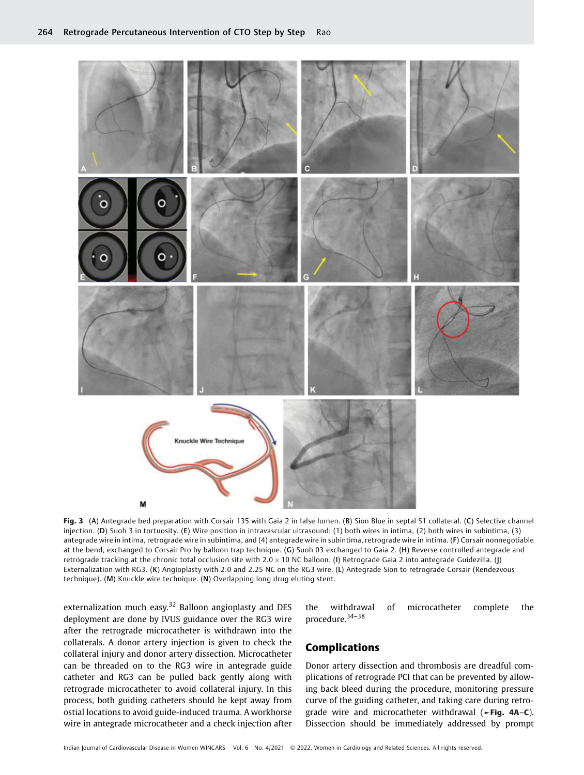

Fig. 3 (A) Antegrade bed preparation with Corsair 135 with Gaia 2 in false lumen. (B) Sion Blue in septal S1 collateral. (C) Selective channel injection. (D) Suoh 3 in tortuosity. (E) Wire position in intravascular ultrasound: (1) both wires in intima, (2) both wires in subintima, (3) antegrade wire in intima, retrograde wire in subintima, and (4) antegrade wire in subintima, retrograde wire in intima. (F) Corsair nonnegotiable at the bend, exchanged to Corsair Pro by balloon trap technique. (G) Suoh 03 exchanged to Gaia 2. (H) Reverse controlled antegrade and retrograde tracking at the chronic total occlusion site with 2.0  $\times$  10 NC balloon. (I) Retrograde Gaia 2 into antegrade Guidezilla. (J) Externalization with RG3. (K) Angioplasty with 2.0 and 2.25 NC on the RG3 wire. (L) Antegrade Sion to retrograde Corsair (Rendezvous technique). (M) Knuckle wire technique. (N) Overlapping long drug eluting stent.

externalization much easy.<sup>32</sup> Balloon angioplasty and DES deployment are done by IVUS guidance over the RG3 wire after the retrograde microcatheter is withdrawn into the collaterals. A donor artery injection is given to check the collateral injury and donor artery dissection. Microcatheter can be threaded on to the RG3 wire in antegrade guide catheter and RG3 can be pulled back gently along with retrograde microcatheter to avoid collateral injury. In this process, both guiding catheters should be kept away from ostial locations to avoid guide-induced trauma. A workhorse wire in antegrade microcatheter and a check injection after

the withdrawal of microcatheter complete the procedure.34–<sup>38</sup>

#### Complications

Donor artery dissection and thrombosis are dreadful complications of retrograde PCI that can be prevented by allowing back bleed during the procedure, monitoring pressure curve of the guiding catheter, and taking care during retrograde wire and microcatheter withdrawal (►Fig. 4A–C). Dissection should be immediately addressed by prompt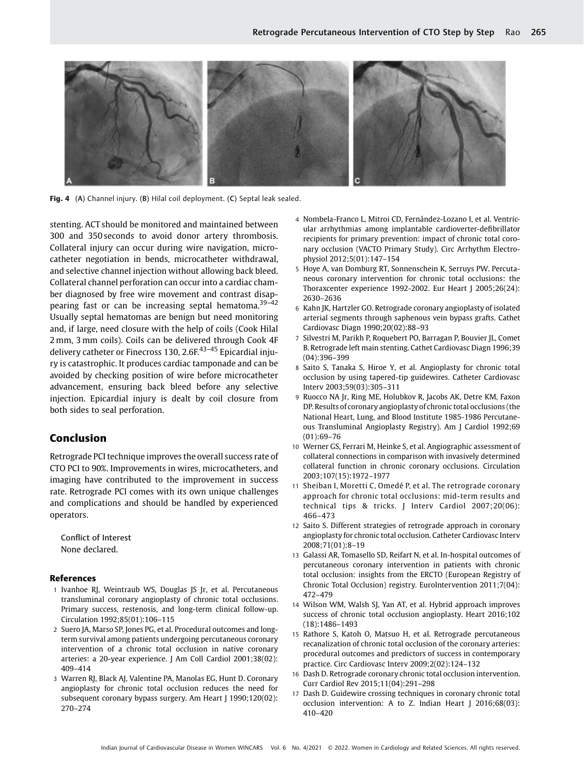

Fig. 4 (A) Channel injury. (B) Hilal coil deployment. (C) Septal leak sealed.

stenting. ACT should be monitored and maintained between 300 and 350 seconds to avoid donor artery thrombosis. Collateral injury can occur during wire navigation, microcatheter negotiation in bends, microcatheter withdrawal, and selective channel injection without allowing back bleed. Collateral channel perforation can occur into a cardiac chamber diagnosed by free wire movement and contrast disappearing fast or can be increasing septal hematoma.<sup>39-42</sup> Usually septal hematomas are benign but need monitoring and, if large, need closure with the help of coils (Cook Hilal 2 mm, 3 mm coils). Coils can be delivered through Cook 4F delivery catheter or Finecross 130, 2.6F.<sup>43-45</sup> Epicardial injury is catastrophic. It produces cardiac tamponade and can be avoided by checking position of wire before microcatheter advancement, ensuring back bleed before any selective injection. Epicardial injury is dealt by coil closure from both sides to seal perforation.

#### Conclusion

Retrograde PCI technique improves the overall success rate of CTO PCI to 90%. Improvements in wires, microcatheters, and imaging have contributed to the improvement in success rate. Retrograde PCI comes with its own unique challenges and complications and should be handled by experienced operators.

Conflict of Interest None declared.

#### References

- 1 Ivanhoe RJ, Weintraub WS, Douglas JS Jr, et al. Percutaneous transluminal coronary angioplasty of chronic total occlusions. Primary success, restenosis, and long-term clinical follow-up. Circulation 1992;85(01):106–115
- 2 Suero JA, Marso SP, Jones PG, et al. Procedural outcomes and longterm survival among patients undergoing percutaneous coronary intervention of a chronic total occlusion in native coronary arteries: a 20-year experience. J Am Coll Cardiol 2001;38(02): 409–414
- 3 Warren RJ, Black AJ, Valentine PA, Manolas EG, Hunt D. Coronary angioplasty for chronic total occlusion reduces the need for subsequent coronary bypass surgery. Am Heart J 1990;120(02): 270–274
- 4 Nombela-Franco L, Mitroi CD, Fernández-Lozano I, et al. Ventricular arrhythmias among implantable cardioverter-defibrillator recipients for primary prevention: impact of chronic total coronary occlusion (VACTO Primary Study). Circ Arrhythm Electrophysiol 2012;5(01):147–154
- 5 Hoye A, van Domburg RT, Sonnenschein K, Serruys PW. Percutaneous coronary intervention for chronic total occlusions: the Thoraxcenter experience 1992-2002. Eur Heart J 2005;26(24): 2630–2636
- 6 Kahn JK, Hartzler GO. Retrograde coronary angioplasty of isolated arterial segments through saphenous vein bypass grafts. Cathet Cardiovasc Diagn 1990;20(02):88–93
- 7 Silvestri M, Parikh P, Roquebert PO, Barragan P, Bouvier JL, Comet B. Retrograde left main stenting. Cathet Cardiovasc Diagn 1996;39 (04):396–399
- 8 Saito S, Tanaka S, Hiroe Y, et al. Angioplasty for chronic total occlusion by using tapered-tip guidewires. Catheter Cardiovasc Interv 2003;59(03):305–311
- 9 Ruocco NA Jr, Ring ME, Holubkov R, Jacobs AK, Detre KM, Faxon DP. Results of coronary angioplasty of chronic total occlusions (the National Heart, Lung, and Blood Institute 1985-1986 Percutaneous Transluminal Angioplasty Registry). Am J Cardiol 1992;69 (01):69–76
- 10 Werner GS, Ferrari M, Heinke S, et al. Angiographic assessment of collateral connections in comparison with invasively determined collateral function in chronic coronary occlusions. Circulation 2003;107(15):1972–1977
- 11 Sheiban I, Moretti C, Omedé P, et al. The retrograde coronary approach for chronic total occlusions: mid-term results and technical tips & tricks. J Interv Cardiol 2007;20(06): 466–473
- 12 Saito S. Different strategies of retrograde approach in coronary angioplasty for chronic total occlusion. Catheter Cardiovasc Interv 2008;71(01):8–19
- 13 Galassi AR, Tomasello SD, Reifart N, et al. In-hospital outcomes of percutaneous coronary intervention in patients with chronic total occlusion: insights from the ERCTO (European Registry of Chronic Total Occlusion) registry. EuroIntervention 2011;7(04): 472–479
- 14 Wilson WM, Walsh SJ, Yan AT, et al. Hybrid approach improves success of chronic total occlusion angioplasty. Heart 2016;102 (18):1486–1493
- 15 Rathore S, Katoh O, Matsuo H, et al. Retrograde percutaneous recanalization of chronic total occlusion of the coronary arteries: procedural outcomes and predictors of success in contemporary practice. Circ Cardiovasc Interv 2009;2(02):124–132
- 16 Dash D. Retrograde coronary chronic total occlusion intervention. Curr Cardiol Rev 2015;11(04):291–298
- 17 Dash D. Guidewire crossing techniques in coronary chronic total occlusion intervention: A to Z. Indian Heart J 2016;68(03): 410–420